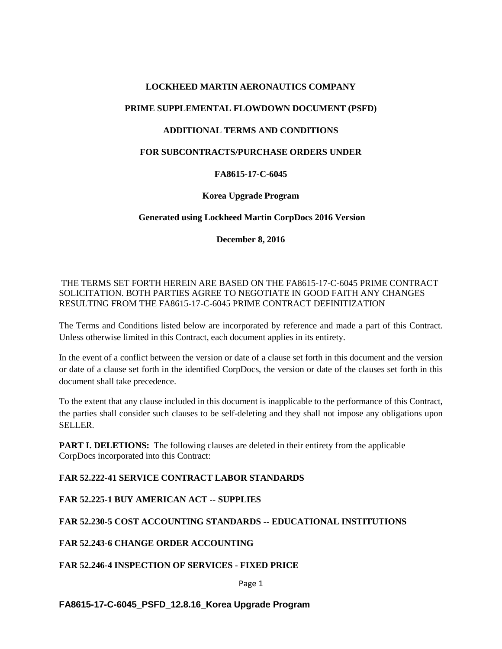### **LOCKHEED MARTIN AERONAUTICS COMPANY**

## **PRIME SUPPLEMENTAL FLOWDOWN DOCUMENT (PSFD)**

### **ADDITIONAL TERMS AND CONDITIONS**

#### **FOR SUBCONTRACTS/PURCHASE ORDERS UNDER**

### **FA8615-17-C-6045**

### **Korea Upgrade Program**

### **Generated using Lockheed Martin CorpDocs 2016 Version**

**December 8, 2016**

## THE TERMS SET FORTH HEREIN ARE BASED ON THE FA8615-17-C-6045 PRIME CONTRACT SOLICITATION. BOTH PARTIES AGREE TO NEGOTIATE IN GOOD FAITH ANY CHANGES RESULTING FROM THE FA8615-17-C-6045 PRIME CONTRACT DEFINITIZATION

The Terms and Conditions listed below are incorporated by reference and made a part of this Contract. Unless otherwise limited in this Contract, each document applies in its entirety.

In the event of a conflict between the version or date of a clause set forth in this document and the version or date of a clause set forth in the identified CorpDocs, the version or date of the clauses set forth in this document shall take precedence.

To the extent that any clause included in this document is inapplicable to the performance of this Contract, the parties shall consider such clauses to be self-deleting and they shall not impose any obligations upon SELLER.

**PART I. DELETIONS:** The following clauses are deleted in their entirety from the applicable CorpDocs incorporated into this Contract:

# **FAR 52.222-41 SERVICE CONTRACT LABOR STANDARDS**

**FAR 52.225-1 BUY AMERICAN ACT -- SUPPLIES** 

**FAR 52.230-5 COST ACCOUNTING STANDARDS -- EDUCATIONAL INSTITUTIONS**

# **FAR 52.243-6 CHANGE ORDER ACCOUNTING**

**FAR 52.246-4 INSPECTION OF SERVICES - FIXED PRICE** 

Page 1

# **FA8615-17-C-6045\_PSFD\_12.8.16\_Korea Upgrade Program**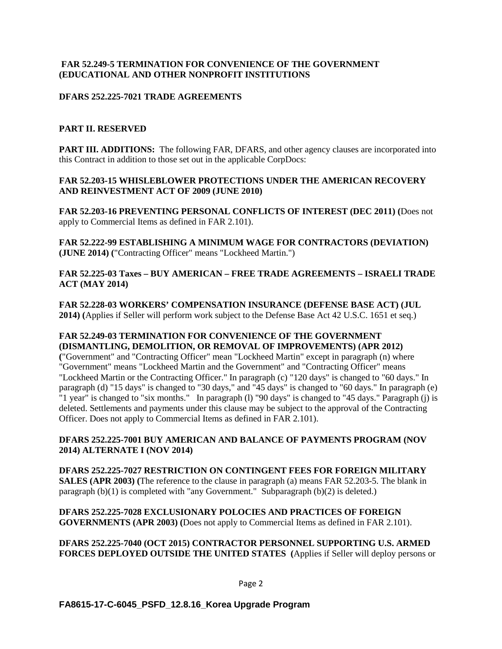#### **FAR 52.249-5 TERMINATION FOR CONVENIENCE OF THE GOVERNMENT (EDUCATIONAL AND OTHER NONPROFIT INSTITUTIONS**

### **DFARS 252.225-7021 TRADE AGREEMENTS**

### **PART II. RESERVED**

**PART III. ADDITIONS:** The following FAR, DFARS, and other agency clauses are incorporated into this Contract in addition to those set out in the applicable CorpDocs:

#### **FAR 52.203-15 WHISLEBLOWER PROTECTIONS UNDER THE AMERICAN RECOVERY AND REINVESTMENT ACT OF 2009 (JUNE 2010)**

**FAR 52.203-16 PREVENTING PERSONAL CONFLICTS OF INTEREST (DEC 2011) (**Does not apply to Commercial Items as defined in FAR 2.101).

**FAR 52.222-99 ESTABLISHING A MINIMUM WAGE FOR CONTRACTORS (DEVIATION) (JUNE 2014) (**"Contracting Officer" means "Lockheed Martin.")

#### **FAR 52.225-03 Taxes – BUY AMERICAN – FREE TRADE AGREEMENTS – ISRAELI TRADE ACT (MAY 2014)**

**FAR 52.228-03 WORKERS' COMPENSATION INSURANCE (DEFENSE BASE ACT) (JUL 2014) (**Applies if Seller will perform work subject to the Defense Base Act 42 U.S.C. 1651 et seq.)

#### **FAR 52.249-03 TERMINATION FOR CONVENIENCE OF THE GOVERNMENT (DISMANTLING, DEMOLITION, OR REMOVAL OF IMPROVEMENTS) (APR 2012)**

**(**"Government" and "Contracting Officer" mean "Lockheed Martin" except in paragraph (n) where "Government" means "Lockheed Martin and the Government" and "Contracting Officer" means "Lockheed Martin or the Contracting Officer." In paragraph (c) "120 days" is changed to "60 days." In paragraph (d) "15 days" is changed to "30 days," and "45 days" is changed to "60 days." In paragraph (e) "1 year" is changed to "six months." In paragraph (l) "90 days" is changed to "45 days." Paragraph (j) is deleted. Settlements and payments under this clause may be subject to the approval of the Contracting Officer. Does not apply to Commercial Items as defined in FAR 2.101).

#### **DFARS 252.225-7001 BUY AMERICAN AND BALANCE OF PAYMENTS PROGRAM (NOV 2014) ALTERNATE I (NOV 2014)**

**DFARS 252.225-7027 RESTRICTION ON CONTINGENT FEES FOR FOREIGN MILITARY SALES (APR 2003) (**The reference to the clause in paragraph (a) means FAR 52.203-5. The blank in paragraph  $(b)(1)$  is completed with "any Government." Subparagraph  $(b)(2)$  is deleted.)

**DFARS 252.225-7028 EXCLUSIONARY POLOCIES AND PRACTICES OF FOREIGN GOVERNMENTS (APR 2003) (**Does not apply to Commercial Items as defined in FAR 2.101).

**DFARS 252.225-7040 (OCT 2015) CONTRACTOR PERSONNEL SUPPORTING U.S. ARMED FORCES DEPLOYED OUTSIDE THE UNITED STATES (**Applies if Seller will deploy persons or

#### Page 2

#### **FA8615-17-C-6045\_PSFD\_12.8.16\_Korea Upgrade Program**